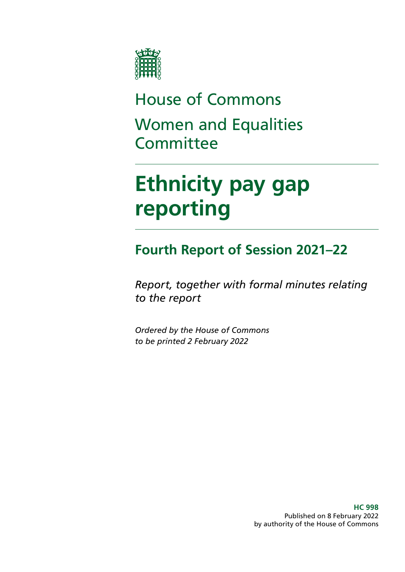

# House of Commons Women and Equalities **Committee**

# **Ethnicity pay gap reporting**

### **Fourth Report of Session 2021–22**

*Report, together with formal minutes relating to the report*

*Ordered by the House of Commons to be printed 2 February 2022*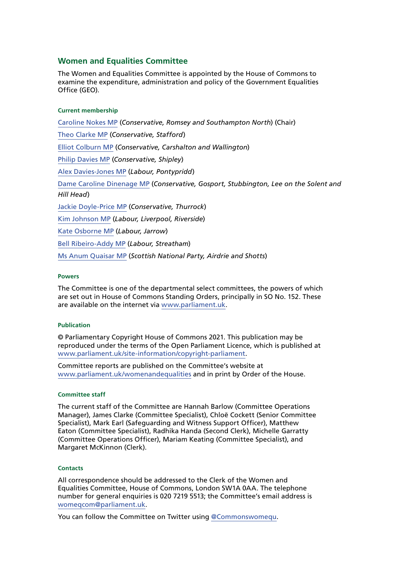#### **Women and Equalities Committee**

The Women and Equalities Committee is appointed by the House of Commons to examine the expenditure, administration and policy of the Government Equalities Office (GEO).

#### **Current membership**

[Caroline Nokes MP](https://members.parliament.uk/member/4048/contact) (*Conservative, Romsey and Southampton North*) (Chair) [Theo Clarke MP](https://members.parliament.uk/member/4819/contact) (*Conservative, Stafford*) [Elliot Colburn MP](https://members.parliament.uk/member/4775/contact) (*Conservative, Carshalton and Wallington*) [Philip Davies MP](https://members.parliament.uk/member/1565/contact) (*Conservative, Shipley*) [Alex Davies-Jones MP](https://members.parliament.uk/member/4849/contact) (*Labour, Pontypridd*) Dame Caroline Dinenage MP (*Conservative, Gosport, Stubbington, Lee on the Solent and Hill Head*) Jackie Doyle-Price MP (*Conservative, Thurrock*) [Kim Johnson MP](https://members.parliament.uk/member/4824/contact) (*Labour, Liverpool, Riverside*) [Kate Osborne MP](https://members.parliament.uk/member/4783/contact) (*Labour, Jarrow*) [Bell Ribeiro-Addy MP](https://members.parliament.uk/member/4764/contact) (*Labour, Streatham*) [Ms Anum Quaisar MP](https://members.parliament.uk/member/4917/contact) (*Scottish National Party, Airdrie and Shotts*)

#### **Powers**

The Committee is one of the departmental select committees, the powers of which are set out in House of Commons Standing Orders, principally in SO No. 152. These are available on the internet via [www.parliament.uk.](http://www.parliament.uk/)

#### **Publication**

© Parliamentary Copyright House of Commons 2021. This publication may be reproduced under the terms of the Open Parliament Licence, which is published at [www.parliament.uk/site-information/copyright-parliament.](https://www.parliament.uk/site-information/copyright-parliament/)

Committee reports are published on the Committee's website at [www.parliament.uk/womenandequalities](http://www.parliament.uk/womenandequalities) and in print by Order of the House.

#### **Committee staff**

The current staff of the Committee are Hannah Barlow (Committee Operations Manager), James Clarke (Committee Specialist), Chloë Cockett (Senior Committee Specialist), Mark Earl (Safeguarding and Witness Support Officer), Matthew Eaton (Committee Specialist), Radhika Handa (Second Clerk), Michelle Garratty (Committee Operations Officer), Mariam Keating (Committee Specialist), and Margaret McKinnon (Clerk).

#### **Contacts**

All correspondence should be addressed to the Clerk of the Women and Equalities Committee, House of Commons, London SW1A 0AA. The telephone number for general enquiries is 020 7219 5513; the Committee's email address is [womeqcom@parliament.uk.](mailto:womeqcom%40parliament.uk?subject=)

You can follow the Committee on Twitter using [@Commonswomequ.](https://twitter.com/Commonswomequ)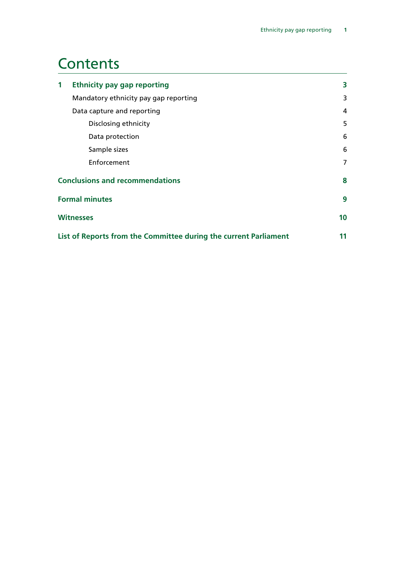### **Contents**

| $\mathbf{1}$                                                     | <b>Ethnicity pay gap reporting</b>    | 3              |
|------------------------------------------------------------------|---------------------------------------|----------------|
|                                                                  | Mandatory ethnicity pay gap reporting | 3              |
|                                                                  | Data capture and reporting            | 4              |
|                                                                  | Disclosing ethnicity                  | 5              |
|                                                                  | Data protection                       | 6              |
|                                                                  | Sample sizes                          | 6              |
|                                                                  | Enforcement                           | $\overline{7}$ |
| <b>Conclusions and recommendations</b>                           |                                       | 8              |
| <b>Formal minutes</b>                                            |                                       | 9              |
| <b>Witnesses</b>                                                 |                                       | 10             |
| List of Reports from the Committee during the current Parliament |                                       |                |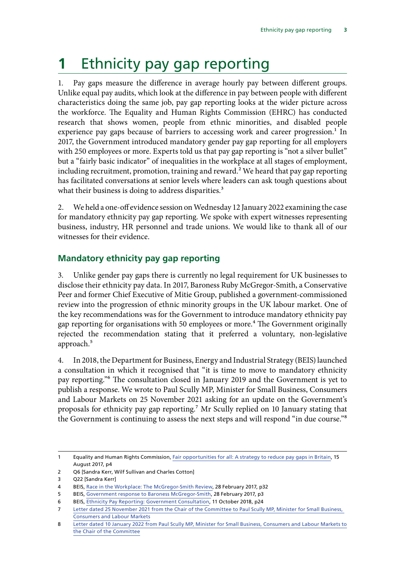# <span id="page-4-0"></span>**1** Ethnicity pay gap reporting

1. Pay gaps measure the difference in average hourly pay between different groups. Unlike equal pay audits, which look at the difference in pay between people with different characteristics doing the same job, pay gap reporting looks at the wider picture across the workforce. The Equality and Human Rights Commission (EHRC) has conducted research that shows women, people from ethnic minorities, and disabled people experience pay gaps because of barriers to accessing work and career progression.<sup>1</sup> In 2017, the Government introduced mandatory gender pay gap reporting for all employers with 250 employees or more. Experts told us that pay gap reporting is "not a silver bullet" but a "fairly basic indicator" of inequalities in the workplace at all stages of employment, including recruitment, promotion, training and reward.<sup>2</sup> We heard that pay gap reporting has facilitated conversations at senior levels where leaders can ask tough questions about what their business is doing to address disparities.<sup>3</sup>

2. We held a one-off evidence session on Wednesday 12 January 2022 examining the case for mandatory ethnicity pay gap reporting. We spoke with expert witnesses representing business, industry, HR personnel and trade unions. We would like to thank all of our witnesses for their evidence.

#### **Mandatory ethnicity pay gap reporting**

3. Unlike gender pay gaps there is currently no legal requirement for UK businesses to disclose their ethnicity pay data. In 2017, Baroness Ruby McGregor-Smith, a Conservative Peer and former Chief Executive of Mitie Group, published a government-commissioned review into the progression of ethnic minority groups in the UK labour market. One of the key recommendations was for the Government to introduce mandatory ethnicity pay gap reporting for organisations with 50 employees or more.<sup>4</sup> The Government originally rejected the recommendation stating that it preferred a voluntary, non-legislative approach.<sup>5</sup>

4. In 2018, the Department for Business, Energy and Industrial Strategy (BEIS) launched a consultation in which it recognised that "it is time to move to mandatory ethnicity pay reporting."6 The consultation closed in January 2019 and the Government is yet to publish a response. We wrote to Paul Scully MP, Minister for Small Business, Consumers and Labour Markets on 25 November 2021 asking for an update on the Government's proposals for ethnicity pay gap reporting.7 Mr Scully replied on 10 January stating that the Government is continuing to assess the next steps and will respond "in due course."8

<sup>1</sup> Equality and Human Rights Commission, [Fair opportunities for all: A strategy to reduce pay gaps in Britain](https://www.equalityhumanrights.com/sites/default/files/pay-gaps-strategy-fair-opportunities-for-all.pdf), 15 August 2017, p4

<sup>2</sup> Q6 [Sandra Kerr, Wilf Sullivan and Charles Cotton]

<sup>3</sup> Q22 [Sandra Kerr]

<sup>4</sup> BEIS, [Race in the Workplace: The McGregor-Smith Review](https://assets.publishing.service.gov.uk/government/uploads/system/uploads/attachment_data/file/594336/race-in-workplace-mcgregor-smith-review.pdf), 28 February 2017, p32

<sup>5</sup> BEIS, [Government response to Baroness McGregor-Smith](https://assets.publishing.service.gov.uk/government/uploads/system/uploads/attachment_data/file/594365/race-in-workplace-mcgregor-smith-review-response.pdf), 28 February 2017, p3

<sup>6</sup> BEIS, [Ethnicity Pay Reporting: Government Consultation,](https://assets.publishing.service.gov.uk/government/uploads/system/uploads/attachment_data/file/747546/ethnicity-pay-reporting-consultation.pdf) 11 October 2018, p24

<sup>7</sup> [Letter dated 25 November 2021 from the Chair of the Committee to Paul Scully MP, Minister for Small Business,](https://committees.parliament.uk/publications/8061/documents/82916/default/)  [Consumers and Labour Markets](https://committees.parliament.uk/publications/8061/documents/82916/default/)

<sup>8</sup> [Letter dated 10 January 2022 from Paul Scully MP, Minister for Small Business, Consumers and Labour Markets to](https://committees.parliament.uk/publications/8567/documents/86522/default/)  [the Chair of the Committee](https://committees.parliament.uk/publications/8567/documents/86522/default/)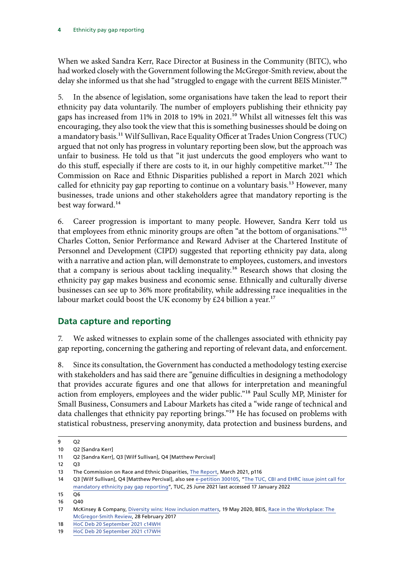<span id="page-5-0"></span>When we asked Sandra Kerr, Race Director at Business in the Community (BITC), who had worked closely with the Government following the McGregor-Smith review, about the delay she informed us that she had "struggled to engage with the current BEIS Minister."<sup>9</sup>

5. In the absence of legislation, some organisations have taken the lead to report their ethnicity pay data voluntarily. The number of employers publishing their ethnicity pay gaps has increased from 11% in 2018 to 19% in 2021.10 Whilst all witnesses felt this was encouraging, they also took the view that this is something businesses should be doing on a mandatory basis.<sup>11</sup> Wilf Sullivan, Race Equality Officer at Trades Union Congress (TUC) argued that not only has progress in voluntary reporting been slow, but the approach was unfair to business. He told us that "it just undercuts the good employers who want to do this stuff, especially if there are costs to it, in our highly competitive market."12 The Commission on Race and Ethnic Disparities published a report in March 2021 which called for ethnicity pay gap reporting to continue on a voluntary basis.<sup>13</sup> However, many businesses, trade unions and other stakeholders agree that mandatory reporting is the best way forward.14

6. Career progression is important to many people. However, Sandra Kerr told us that employees from ethnic minority groups are often "at the bottom of organisations."15 Charles Cotton, Senior Performance and Reward Adviser at the Chartered Institute of Personnel and Development (CIPD) suggested that reporting ethnicity pay data, along with a narrative and action plan, will demonstrate to employees, customers, and investors that a company is serious about tackling inequality.16 Research shows that closing the ethnicity pay gap makes business and economic sense. Ethnically and culturally diverse businesses can see up to 36% more profitability, while addressing race inequalities in the labour market could boost the UK economy by  $\text{\pounds}24$  billion a year.<sup>17</sup>

#### **Data capture and reporting**

7. We asked witnesses to explain some of the challenges associated with ethnicity pay gap reporting, concerning the gathering and reporting of relevant data, and enforcement.

8. Since its consultation, the Government has conducted a methodology testing exercise with stakeholders and has said there are "genuine difficulties in designing a methodology that provides accurate figures and one that allows for interpretation and meaningful action from employers, employees and the wider public."<sup>18</sup> Paul Scully MP, Minister for Small Business, Consumers and Labour Markets has cited a "wide range of technical and data challenges that ethnicity pay reporting brings."<sup>19</sup> He has focused on problems with statistical robustness, preserving anonymity, data protection and business burdens, and

<sup>9</sup> Q2

<sup>10</sup> Q2 [Sandra Kerr]

<sup>11</sup> Q2 [Sandra Kerr], Q3 [Wilf Sullivan], Q4 [Matthew Percival]

 $12 \quad 03$ 

<sup>13</sup> The Commission on Race and Ethnic Disparities, [The Report,](https://assets.publishing.service.gov.uk/government/uploads/system/uploads/attachment_data/file/974507/20210331_-_CRED_Report_-_FINAL_-_Web_Accessible.pdf) March 2021, p116

<sup>14</sup> Q3 [Wilf Sullivan], Q4 [Matthew Percival], also see [e-petition 300105](https://petition.parliament.uk/petitions/300105), "[The TUC, CBI and EHRC issue joint call for](https://www.tuc.org.uk/news/tuc-cbi-and-ehrc-issue-joint-call-mandatory-ethnicity-pay-gap-reporting)  [mandatory ethnicity pay gap reporting](https://www.tuc.org.uk/news/tuc-cbi-and-ehrc-issue-joint-call-mandatory-ethnicity-pay-gap-reporting)", TUC, 25 June 2021 last accessed 17 January 2022

<sup>15</sup> Q6

<sup>16</sup> Q40

<sup>17</sup> McKinsey & Company, [Diversity wins: How inclusion matters](https://www.mckinsey.com/featured-insights/diversity-and-inclusion/diversity-wins-how-inclusion-matters), 19 May 2020, BEIS, [Race in the Workplace: The](https://assets.publishing.service.gov.uk/government/uploads/system/uploads/attachment_data/file/594336/race-in-workplace-mcgregor-smith-review.pdf)  [McGregor-Smith Review,](https://assets.publishing.service.gov.uk/government/uploads/system/uploads/attachment_data/file/594336/race-in-workplace-mcgregor-smith-review.pdf) 28 February 2017

<sup>18</sup> [HoC Deb 20 September 2021 c14WH](https://hansard.parliament.uk/commons/2021-09-20/debates/3A332BAE-A7AE-49BD-95F3-2E7875E04F66/EthnicityPayGap)

<sup>19</sup> [HoC Deb 20 September 2021 c17WH](https://hansard.parliament.uk/commons/2021-09-20/debates/3A332BAE-A7AE-49BD-95F3-2E7875E04F66/EthnicityPayGap)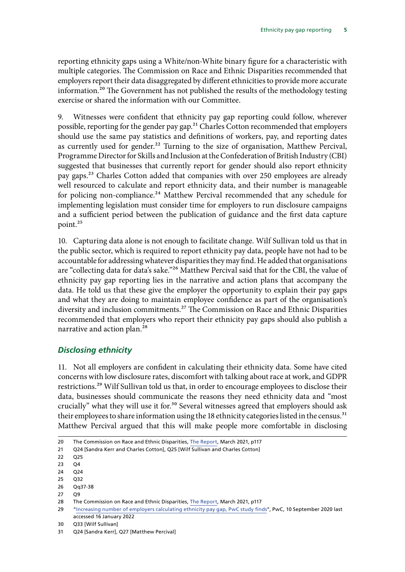<span id="page-6-0"></span>reporting ethnicity gaps using a White/non-White binary figure for a characteristic with multiple categories. The Commission on Race and Ethnic Disparities recommended that employers report their data disaggregated by different ethnicities to provide more accurate information.<sup>20</sup> The Government has not published the results of the methodology testing exercise or shared the information with our Committee.

9. Witnesses were confident that ethnicity pay gap reporting could follow, wherever possible, reporting for the gender pay gap.<sup>21</sup> Charles Cotton recommended that employers should use the same pay statistics and definitions of workers, pay, and reporting dates as currently used for gender.<sup>22</sup> Turning to the size of organisation, Matthew Percival, Programme Director for Skills and Inclusion at the Confederation of British Industry (CBI) suggested that businesses that currently report for gender should also report ethnicity pay gaps.23 Charles Cotton added that companies with over 250 employees are already well resourced to calculate and report ethnicity data, and their number is manageable for policing non-compliance.<sup>24</sup> Matthew Percival recommended that any schedule for implementing legislation must consider time for employers to run disclosure campaigns and a sufficient period between the publication of guidance and the first data capture point.25

10. Capturing data alone is not enough to facilitate change. Wilf Sullivan told us that in the public sector, which is required to report ethnicity pay data, people have not had to be accountable for addressing whatever disparities they may find. He added that organisations are "collecting data for data's sake."<sup>26</sup> Matthew Percival said that for the CBI, the value of ethnicity pay gap reporting lies in the narrative and action plans that accompany the data. He told us that these give the employer the opportunity to explain their pay gaps and what they are doing to maintain employee confidence as part of the organisation's diversity and inclusion commitments.<sup>27</sup> The Commission on Race and Ethnic Disparities recommended that employers who report their ethnicity pay gaps should also publish a narrative and action plan.28

#### *Disclosing ethnicity*

11. Not all employers are confident in calculating their ethnicity data. Some have cited concerns with low disclosure rates, discomfort with talking about race at work, and GDPR restrictions.<sup>29</sup> Wilf Sullivan told us that, in order to encourage employees to disclose their data, businesses should communicate the reasons they need ethnicity data and "most crucially" what they will use it for.<sup>30</sup> Several witnesses agreed that employers should ask their employees to share information using the 18 ethnicity categories listed in the census.<sup>31</sup> Matthew Percival argued that this will make people more comfortable in disclosing

27 Q9

30 Q33 [Wilf Sullivan]

<sup>20</sup> The Commission on Race and Ethnic Disparities, [The Report,](https://assets.publishing.service.gov.uk/government/uploads/system/uploads/attachment_data/file/974507/20210331_-_CRED_Report_-_FINAL_-_Web_Accessible.pdf) March 2021, p117

<sup>21</sup> Q24 [Sandra Kerr and Charles Cotton], Q25 [Wilf Sullivan and Charles Cotton]

<sup>22</sup> Q25

<sup>23</sup> Q4

<sup>24</sup> Q24

<sup>25</sup> Q32

<sup>26</sup> Qq37-38

<sup>28</sup> The Commission on Race and Ethnic Disparities, [The Report,](https://assets.publishing.service.gov.uk/government/uploads/system/uploads/attachment_data/file/974507/20210331_-_CRED_Report_-_FINAL_-_Web_Accessible.pdf) March 2021, p117

<sup>29</sup> "[Increasing number of employers calculating ethnicity pay gap, PwC study finds"](https://www.pwc.co.uk/press-room/press-releases/Increasing-number-of-employers-calculating-ethnicity-pay-gap-PwCstudy-finds.html), PwC, 10 September 2020 last accessed 16 January 2022

<sup>31</sup> Q24 [Sandra Kerr], Q27 [Matthew Percival]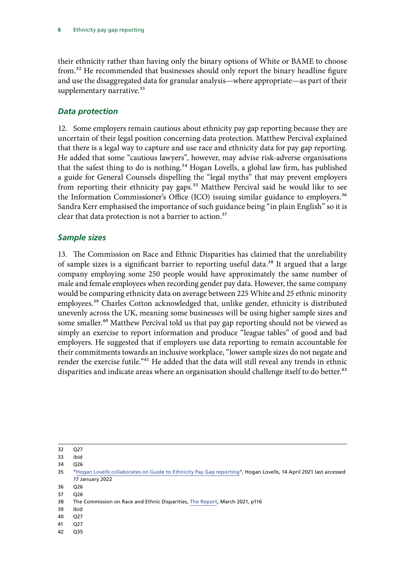<span id="page-7-0"></span>their ethnicity rather than having only the binary options of White or BAME to choose from.32 He recommended that businesses should only report the binary headline figure and use the disaggregated data for granular analysis—where appropriate—as part of their supplementary narrative.<sup>33</sup>

#### *Data protection*

12. Some employers remain cautious about ethnicity pay gap reporting because they are uncertain of their legal position concerning data protection. Matthew Percival explained that there is a legal way to capture and use race and ethnicity data for pay gap reporting. He added that some "cautious lawyers", however, may advise risk-adverse organisations that the safest thing to do is nothing.<sup>34</sup> Hogan Lovells, a global law firm, has published a guide for General Counsels dispelling the "legal myths" that may prevent employers from reporting their ethnicity pay gaps.35 Matthew Percival said he would like to see the Information Commissioner's Office (ICO) issuing similar guidance to employers.<sup>36</sup> Sandra Kerr emphasised the importance of such guidance being "in plain English" so it is clear that data protection is not a barrier to action.<sup>37</sup>

#### *Sample sizes*

13. The Commission on Race and Ethnic Disparities has claimed that the unreliability of sample sizes is a significant barrier to reporting useful data.<sup>38</sup> It argued that a large company employing some 250 people would have approximately the same number of male and female employees when recording gender pay data. However, the same company would be comparing ethnicity data on average between 225 White and 25 ethnic minority employees.<sup>39</sup> Charles Cotton acknowledged that, unlike gender, ethnicity is distributed unevenly across the UK, meaning some businesses will be using higher sample sizes and some smaller.<sup>40</sup> Matthew Percival told us that pay gap reporting should not be viewed as simply an exercise to report information and produce "league tables" of good and bad employers. He suggested that if employers use data reporting to remain accountable for their commitments towards an inclusive workplace, "lower sample sizes do not negate and render the exercise futile."<sup>41</sup> He added that the data will still reveal any trends in ethnic disparities and indicate areas where an organisation should challenge itself to do better.<sup>42</sup>

32 Q27

36 Q26

- 39 Ibid
- 40 Q27
- 41 Q27
- 42 Q35

<sup>33</sup> ibid

<sup>34</sup> Q26

<sup>35</sup> "[Hogan Lovells collaborates on Guide to Ethnicity Pay Gap reporting](https://www.hoganlovells.com/en/news/hogan-lovells-collaborates-on-guide-to-ethnicity-pay-gap-reporting)", Hogan Lovells, 14 April 2021 last accessed 17 January 2022

<sup>37</sup> Q26

<sup>38</sup> The Commission on Race and Ethnic Disparities, [The Report,](https://assets.publishing.service.gov.uk/government/uploads/system/uploads/attachment_data/file/974507/20210331_-_CRED_Report_-_FINAL_-_Web_Accessible.pdf) March 2021, p116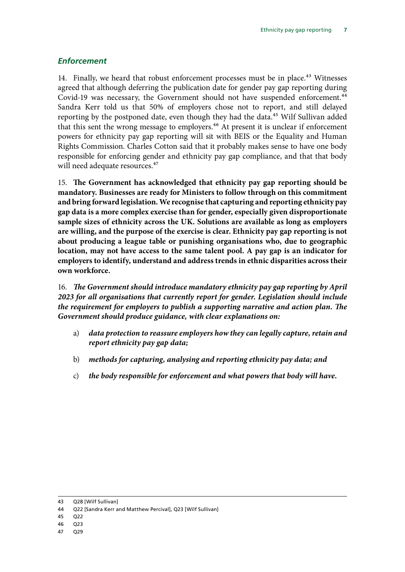#### <span id="page-8-0"></span>*Enforcement*

14. Finally, we heard that robust enforcement processes must be in place.<sup>43</sup> Witnesses agreed that although deferring the publication date for gender pay gap reporting during Covid-19 was necessary, the Government should not have suspended enforcement.<sup>44</sup> Sandra Kerr told us that 50% of employers chose not to report, and still delayed reporting by the postponed date, even though they had the data.<sup>45</sup> Wilf Sullivan added that this sent the wrong message to employers.<sup>46</sup> At present it is unclear if enforcement powers for ethnicity pay gap reporting will sit with BEIS or the Equality and Human Rights Commission. Charles Cotton said that it probably makes sense to have one body responsible for enforcing gender and ethnicity pay gap compliance, and that that body will need adequate resources.<sup>47</sup>

<span id="page-8-1"></span>15. **The Government has acknowledged that ethnicity pay gap reporting should be mandatory. Businesses are ready for Ministers to follow through on this commitment and bring forward legislation. We recognise that capturing and reporting ethnicity pay gap data is a more complex exercise than for gender, especially given disproportionate sample sizes of ethnicity across the UK. Solutions are available as long as employers are willing, and the purpose of the exercise is clear. Ethnicity pay gap reporting is not about producing a league table or punishing organisations who, due to geographic location, may not have access to the same talent pool. A pay gap is an indicator for employers to identify, understand and address trends in ethnic disparities across their own workforce.**

<span id="page-8-2"></span>16. *The Government should introduce mandatory ethnicity pay gap reporting by April 2023 for all organisations that currently report for gender. Legislation should include the requirement for employers to publish a supporting narrative and action plan. The Government should produce guidance, with clear explanations on:*

- <span id="page-8-3"></span>a) *data protection to reassure employers how they can legally capture, retain and report ethnicity pay gap data;*
- <span id="page-8-4"></span>b) *methods for capturing, analysing and reporting ethnicity pay data; and*
- c) *the body responsible for enforcement and what powers that body will have.*

- 45 Q22
- 46 Q23
- 47 Q29

<sup>43</sup> Q28 [Wilf Sullivan]

<sup>44</sup> Q22 [Sandra Kerr and Matthew Percival], Q23 [Wilf Sullivan]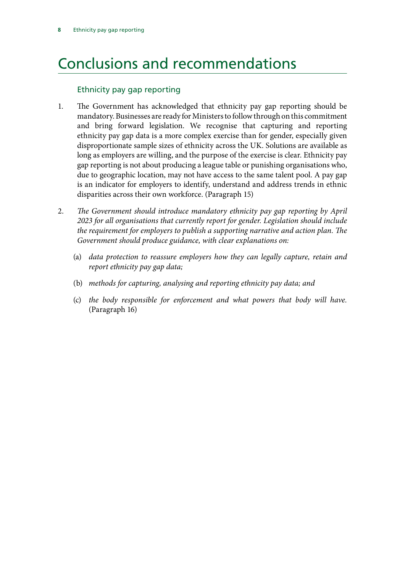# <span id="page-9-0"></span>Conclusions and recommendations

#### Ethnicity pay gap reporting

- 1. [The Government has acknowledged that ethnicity pay gap reporting should be](#page-8-1) [mandatory. Businesses are ready for Ministers to follow through on this commitment](#page-8-1) [and bring forward legislation. We recognise that capturing and reporting](#page-8-1) [ethnicity pay gap data is a more complex exercise than for gender, especially given](#page-8-1) [disproportionate sample sizes of ethnicity across the UK. Solutions are available as](#page-8-1) [long as employers are willing, and the purpose of the exercise is clear. Ethnicity pay](#page-8-1) [gap reporting is not about producing a league table or punishing organisations who,](#page-8-1) [due to geographic location, may not have access to the same talent pool. A pay gap](#page-8-1) [is an indicator for employers to identify, understand and address trends in ethnic](#page-8-1) [disparities across their own workforce.](#page-8-1) (Paragraph 15)
- 2. *[The Government should introduce mandatory ethnicity pay gap reporting by April](#page-8-2) [2023 for all organisations that currently report for gender. Legislation should include](#page-8-2) [the requirement for employers to publish a supporting narrative and action plan. The](#page-8-2) [Government should produce guidance, with clear explanations on:](#page-8-2)*
	- (a) *[data protection to reassure employers how they can legally capture, retain and](#page-8-3) [report ethnicity pay gap data;](#page-8-3)*
	- (b) *[methods for capturing, analysing and reporting ethnicity pay data; and](#page-8-4)*
	- (c) *the body responsible for enforcement and what powers that body will have.*  (Paragraph 16)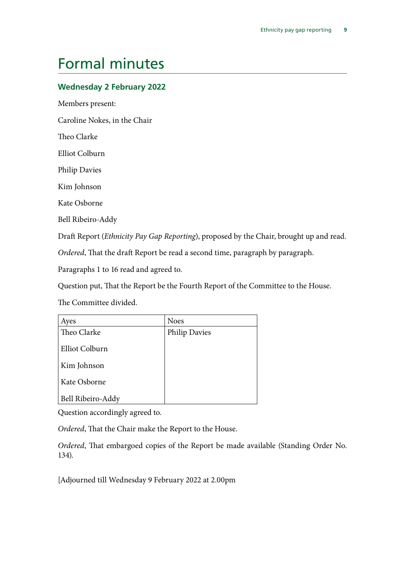## <span id="page-10-0"></span>Formal minutes

#### **Wednesday 2 February 2022**

Members present:

Caroline Nokes, in the Chair

Theo Clarke

Elliot Colburn

Philip Davies

Kim Johnson

Kate Osborne

Bell Ribeiro-Addy

Draft Report (*Ethnicity Pay Gap Reporting*), proposed by the Chair, brought up and read.

*Ordered*, That the draft Report be read a second time, paragraph by paragraph.

Paragraphs 1 to 16 read and agreed to.

Question put, That the Report be the Fourth Report of the Committee to the House.

The Committee divided.

| Ayes              | <b>Noes</b>   |
|-------------------|---------------|
| Theo Clarke       | Philip Davies |
| Elliot Colburn    |               |
| Kim Johnson       |               |
| Kate Osborne      |               |
| Bell Ribeiro-Addy |               |

Question accordingly agreed to.

*Ordered*, That the Chair make the Report to the House.

*Ordered*, That embargoed copies of the Report be made available (Standing Order No. 134).

[Adjourned till Wednesday 9 February 2022 at 2.00pm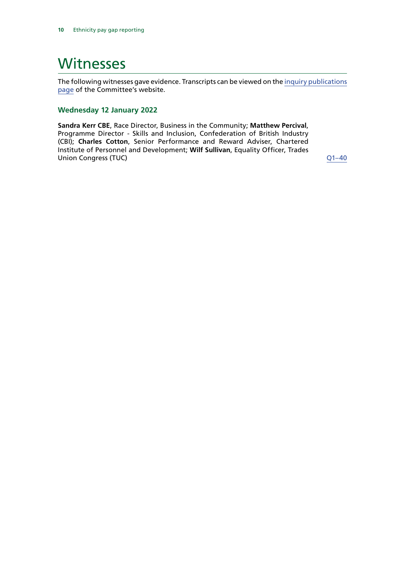### <span id="page-11-0"></span>**Witnesses**

The following witnesses gave evidence. Transcripts can be viewed on the [inquiry publications](https://committees.parliament.uk/work/1726/default/publications/oral-evidence/) [page](https://committees.parliament.uk/work/1726/default/publications/oral-evidence/) of the Committee's website.

#### **Wednesday 12 January 2022**

**Sandra Kerr CBE**, Race Director, Business in the Community; **Matthew Percival**, Programme Director - Skills and Inclusion, Confederation of British Industry (CBI); **Charles Cotton**, Senior Performance and Reward Adviser, Chartered Institute of Personnel and Development; **Wilf Sullivan**, Equality Officer, Trades Union Congress (TUC) [Q1–4](https://committees.parliament.uk/oralevidence/3250/html/)0